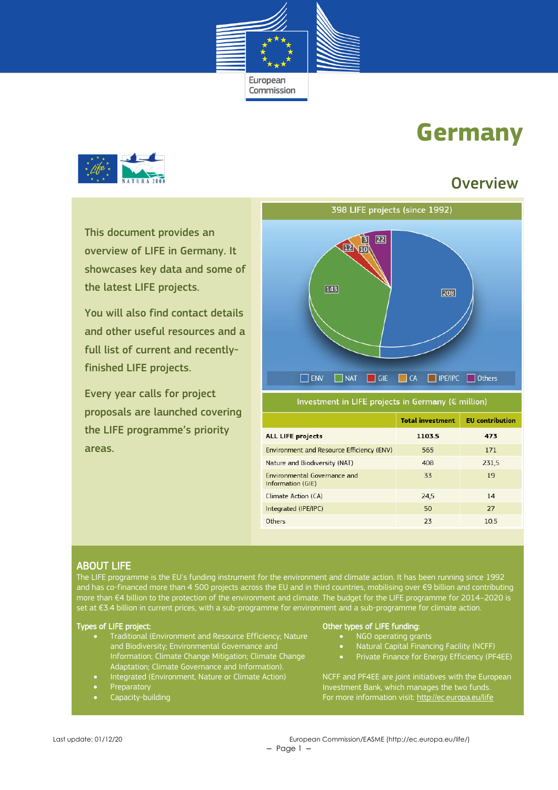

# **Germany**



This document provides an overview of LIFE in Germany. It showcases key data and some of the latest LIFE projects.

You will also find contact details and other useful resources and a full list of current and recentlyfinished LIFE projects.

Every year calls for project proposals are launched covering the LIFE programme's priority areas.

# **Overview**



Investment in LIFE projects in Germany (€ million)

|                                                   | <b>Total investment</b> | <b>EU</b> contribution |
|---------------------------------------------------|-------------------------|------------------------|
| <b>ALL LIFE projects</b>                          | 1103.5                  | 473                    |
| Environment and Resource Efficiency (ENV)         | 565                     | 171                    |
| Nature and Biodiversity (NAT)                     | 408                     | 231,5                  |
| Environmental Governance and<br>Information (GIE) | 33                      | 19                     |
| Climate Action (CA)                               | 24.5                    | 14                     |
| Integrated (IPE/IPC)                              | 50                      | 27                     |
| <b>Others</b>                                     | 23                      | 10.5                   |

#### ABOUT LIFE

The LIFE programme is the EU's funding instrument for the environment and climate action. It has been running since 1992 and has co-financed more than 4 500 projects across the EU and in third countries, mobilising over €9 billion and contributing more than €4 billion to the protection of the environment and climate. The budget for the LIFE programme for 2014–2020 is set at €3.4 billion in current prices, with a sub-programme for environment and a sub-programme for climate action.

#### Types of LIFE project:

- Traditional (Environment and Resource Efficiency; Nature and Biodiversity; Environmental Governance and Information; Climate Change Mitigation; Climate Change Adaptation; Climate Governance and Information).
- Integrated (Environment, Nature or Climate Action)
- Preparatory
- Capacity-building

#### Other types of LIFE funding:

- NGO operating grants
- Natural Capital Financing Facility (NCFF)
- Private Finance for Energy Efficiency (PF4EE)

NCFF and PF4EE are joint initiatives with the European Investment Bank, which manages the two funds. For more information visit[: http://ec.europa.eu/life](http://ec.europa.eu/life)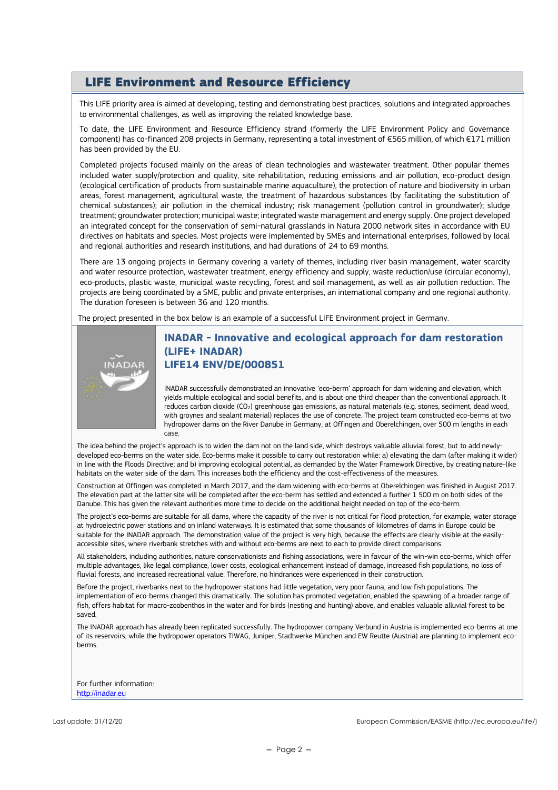# LIFE Environment and Resource Efficiency

This LIFE priority area is aimed at developing, testing and demonstrating best practices, solutions and integrated approaches to environmental challenges, as well as improving the related knowledge base.

To date, the LIFE Environment and Resource Efficiency strand (formerly the LIFE Environment Policy and Governance component) has co-financed 208 projects in Germany, representing a total investment of €565 million, of which €171 million has been provided by the EU.

Completed projects focused mainly on the areas of clean technologies and wastewater treatment. Other popular themes included water supply/protection and quality, site rehabilitation, reducing emissions and air pollution, eco-product design (ecological certification of products from sustainable marine aquaculture), the protection of nature and biodiversity in urban areas, forest management, agricultural waste, the treatment of hazardous substances (by facilitating the substitution of chemical substances); air pollution in the chemical industry; risk management (pollution control in groundwater); sludge treatment; groundwater protection; municipal waste; integrated waste management and energy supply. One project developed an integrated concept for the conservation of semi-natural grasslands in Natura 2000 network sites in accordance with EU directives on habitats and species. Most projects were implemented by SMEs and international enterprises, followed by local and regional authorities and research institutions, and had durations of 24 to 69 months.

There are 13 ongoing projects in Germany covering a variety of themes, including river basin management, water scarcity and water resource protection, wastewater treatment, energy efficiency and supply, waste reduction/use (circular economy), eco-products, plastic waste, municipal waste recycling, forest and soil management, as well as air pollution reduction. The projects are being coordinated by a SME, public and private enterprises, an international company and one regional authority. The duration foreseen is between 36 and 120 months.

The project presented in the box below is an example of a successful LIFE Environment project in Germany.



### **INADAR - Innovative and ecological approach for dam restoration (LIFE+ INADAR) LIFE14 ENV/DE/000851**

INADAR successfully demonstrated an innovative 'eco-berm' approach for dam widening and elevation, which yields multiple ecological and social benefits, and is about one third cheaper than the conventional approach. It reduces carbon dioxide (CO<sub>2</sub>) greenhouse gas emissions, as natural materials (e.g. stones, sediment, dead wood, with groynes and sealant material) replaces the use of concrete. The project team constructed eco-berms at two hydropower dams on the River Danube in Germany, at Offingen and Oberelchingen, over 500 m lengths in each case.

The idea behind the project's approach is to widen the dam not on the land side, which destroys valuable alluvial forest, but to add newlydeveloped eco-berms on the water side. Eco-berms make it possible to carry out restoration while: a) elevating the dam (after making it wider) in line with the Floods Directive; and b) improving ecological potential, as demanded by the Water Framework Directive, by creating nature-like habitats on the water side of the dam. This increases both the efficiency and the cost-effectiveness of the measures.

Construction at Offingen was completed in March 2017, and the dam widening with eco-berms at Oberelchingen was finished in August 2017. The elevation part at the latter site will be completed after the eco-berm has settled and extended a further 1 500 m on both sides of the Danube. This has given the relevant authorities more time to decide on the additional height needed on top of the eco-berm.

The project's eco-berms are suitable for all dams, where the capacity of the river is not critical for flood protection, for example, water storage at hydroelectric power stations and on inland waterways. It is estimated that some thousands of kilometres of dams in Europe could be suitable for the INADAR approach. The demonstration value of the project is very high, because the effects are clearly visible at the easilyaccessible sites, where riverbank stretches with and without eco-berms are next to each to provide direct comparisons.

All stakeholders, including authorities, nature conservationists and fishing associations, were in favour of the win-win eco-berms, which offer multiple advantages, like legal compliance, lower costs, ecological enhancement instead of damage, increased fish populations, no loss of fluvial forests, and increased recreational value. Therefore, no hindrances were experienced in their construction.

Before the project, riverbanks next to the hydropower stations had little vegetation, very poor fauna, and low fish populations. The implementation of eco-berms changed this dramatically. The solution has promoted vegetation, enabled the spawning of a broader range of fish, offers habitat for macro-zoobenthos in the water and for birds (nesting and hunting) above, and enables valuable alluvial forest to be saved.

The INADAR approach has already been replicated successfully. The hydropower company Verbund in Austria is implemented eco-berms at one of its reservoirs, while the hydropower operators TIWAG, Juniper, Stadtwerke München and EW Reutte (Austria) are planning to implement ecoberms.

For further information: [http://inadar.eu](http://inadar.eu/)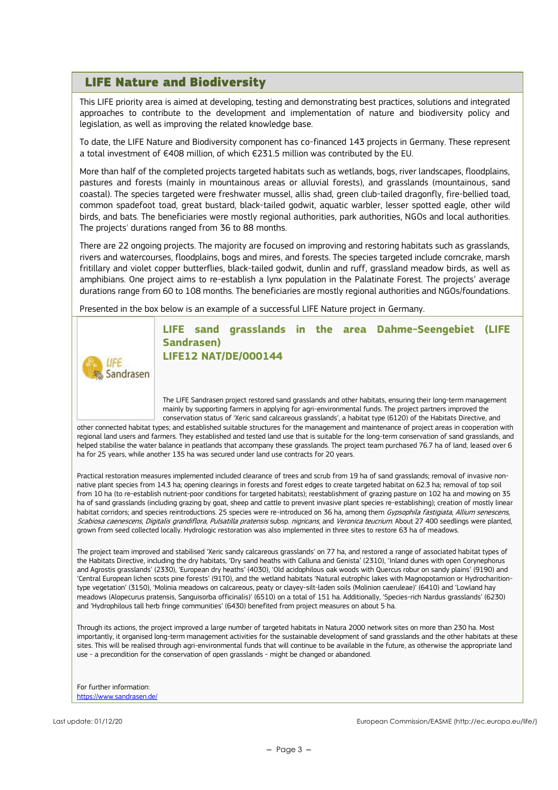## LIFE Nature and Biodiversity

This LIFE priority area is aimed at developing, testing and demonstrating best practices, solutions and integrated approaches to contribute to the development and implementation of nature and biodiversity policy and legislation, as well as improving the related knowledge base.

To date, the LIFE Nature and Biodiversity component has co-financed 143 projects in Germany. These represent a total investment of €408 million, of which €231.5 million was contributed by the EU.

More than half of the completed projects targeted habitats such as wetlands, bogs, river landscapes, floodplains, pastures and forests (mainly in mountainous areas or alluvial forests), and grasslands (mountainous, sand coastal). The species targeted were freshwater mussel, allis shad, green club-tailed dragonfly, fire-bellied toad, common spadefoot toad, great bustard, black-tailed godwit, aquatic warbler, lesser spotted eagle, other wild birds, and bats. The beneficiaries were mostly regional authorities, park authorities, NGOs and local authorities. The projects' durations ranged from 36 to 88 months.

There are 22 ongoing projects. The majority are focused on improving and restoring habitats such as grasslands, rivers and watercourses, floodplains, bogs and mires, and forests. The species targeted include corncrake, marsh fritillary and violet copper butterflies, black-tailed godwit, dunlin and ruff, grassland meadow birds, as well as amphibians. One project aims to re-establish a lynx population in the Palatinate Forest. The projects' average durations range from 60 to 108 months. The beneficiaries are mostly regional authorities and NGOs/foundations.

Presented in the box below is an example of a successful LIFE Nature project in Germany.



**LIFE sand grasslands in the area Dahme-Seengebiet (LIFE Sandrasen) LIFE12 NAT/DE/000144**

The LIFE Sandrasen project restored sand grasslands and other habitats, ensuring their long-term management mainly by supporting farmers in applying for agri-environmental funds. The project partners improved the conservation status of 'Xeric sand calcareous grasslands', a habitat type (6120) of the Habitats Directive, and

other connected habitat types; and established suitable structures for the management and maintenance of project areas in cooperation with regional land users and farmers. They established and tested land use that is suitable for the long-term conservation of sand grasslands, and helped stabilise the water balance in peatlands that accompany these grasslands. The project team purchased 76.7 ha of land, leased over 6 ha for 25 years, while another 135 ha was secured under land use contracts for 20 years.

Practical restoration measures implemented included clearance of trees and scrub from 19 ha of sand grasslands; removal of invasive nonnative plant species from 14.3 ha; opening clearings in forests and forest edges to create targeted habitat on 62.3 ha; removal of top soil from 10 ha (to re-establish nutrient-poor conditions for targeted habitats); reestablishment of grazing pasture on 102 ha and mowing on 35 ha of sand grasslands (including grazing by goat, sheep and cattle to prevent invasive plant species re-establishing); creation of mostly linear habitat corridors; and species reintroductions. 25 species were re-introduced on 36 ha, among them Gypsophila fastigiata, Allium senescens, Scabiosa caenescens, Digitalis grandiflora, Pulsatilla pratensis subsp. nigricans, and Veronica teucrium. About 27 400 seedlings were planted, grown from seed collected locally. Hydrologic restoration was also implemented in three sites to restore 63 ha of meadows.

The project team improved and stabilised 'Xeric sandy calcareous grasslands' on 77 ha, and restored a range of associated habitat types of the Habitats Directive, including the dry habitats, 'Dry sand heaths with Calluna and Genista' (2310), 'Inland dunes with open Corynephorus and Agrostis grasslands' (2330), 'European dry heaths' (4030), 'Old acidophilous oak woods with Quercus robur on sandy plains' (9190) and 'Central European lichen scots pine forests' (91T0), and the wetland habitats 'Natural eutrophic lakes with Magnopotamion or Hydrocharitiontype vegetation' (3150), 'Molinia meadows on calcareous, peaty or clayey-silt-laden soils (Molinion caeruleae)' (6410) and 'Lowland hay meadows (Alopecurus pratensis, Sanguisorba officinalis)' (6510) on a total of 151 ha. Additionally, 'Species-rich Nardus grasslands' (6230) and 'Hydrophilous tall herb fringe communities' (6430) benefited from project measures on about 5 ha.

Through its actions, the project improved a large number of targeted habitats in Natura 2000 network sites on more than 230 ha. Most importantly, it organised long-term management activities for the sustainable development of sand grasslands and the other habitats at these sites. This will be realised through agri-environmental funds that will continue to be available in the future, as otherwise the appropriate land use - a precondition for the conservation of open grasslands - might be changed or abandoned.

For further information: <https://www.sandrasen.de/>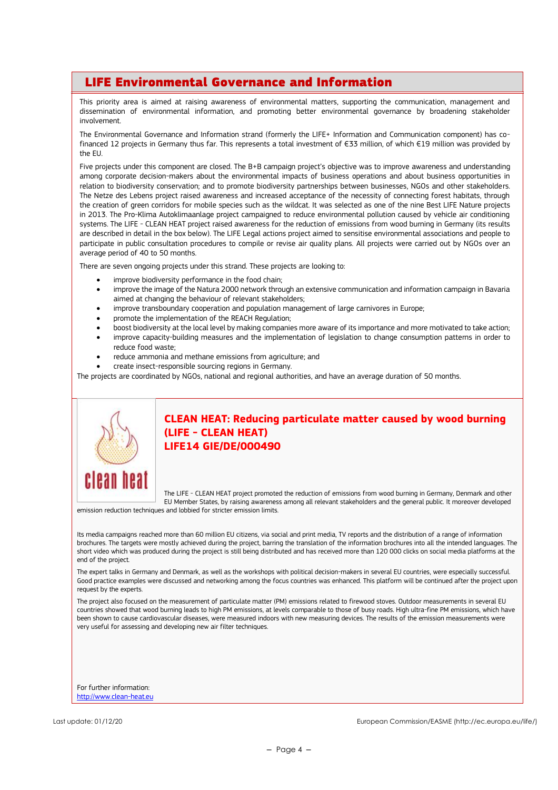# LIFE Environmental Governance and Information

This priority area is aimed at raising awareness of environmental matters, supporting the communication, management and dissemination of environmental information, and promoting better environmental governance by broadening stakeholder involvement.

The Environmental Governance and Information strand (formerly the LIFE+ Information and Communication component) has cofinanced 12 projects in Germany thus far. This represents a total investment of €33 million, of which €19 million was provided by the EU.

Five projects under this component are closed. The B+B campaign project's objective was to improve awareness and understanding among corporate decision-makers about the environmental impacts of business operations and about business opportunities in relation to biodiversity conservation; and to promote biodiversity partnerships between businesses, NGOs and other stakeholders. The Netze des Lebens project raised awareness and increased acceptance of the necessity of connecting forest habitats, through the creation of green corridors for mobile species such as the wildcat. It was selected as one of the nine Best LIFE Nature projects in 2013. The Pro-Klima Autoklimaanlage project campaigned to reduce environmental pollution caused by vehicle air conditioning systems. The LIFE - CLEAN HEAT project raised awareness for the reduction of emissions from wood burning in Germany (its results are described in detail in the box below). The LIFE Legal actions project aimed to sensitise environmental associations and people to participate in public consultation procedures to compile or revise air quality plans. All projects were carried out by NGOs over an average period of 40 to 50 months.

There are seven ongoing projects under this strand. These projects are looking to:

- improve biodiversity performance in the food chain;
- improve the image of the Natura 2000 network through an extensive communication and information campaign in Bavaria aimed at changing the behaviour of relevant stakeholders;
- improve transboundary cooperation and population management of large carnivores in Europe;
- promote the implementation of the REACH Regulation;
- boost biodiversity at the local level by making companies more aware of its importance and more motivated to take action;
- improve capacity-building measures and the implementation of legislation to change consumption patterns in order to reduce food waste;
- reduce ammonia and methane emissions from agriculture; and
- create insect-responsible sourcing regions in Germany.

The projects are coordinated by NGOs, national and regional authorities, and have an average duration of 50 months.



#### **CLEAN HEAT: Reducing particulate matter caused by wood burning (LIFE - CLEAN HEAT) LIFE14 GIE/DE/000490**

The LIFE - CLEAN HEAT project promoted the reduction of emissions from wood burning in Germany, Denmark and other EU Member States, by raising awareness among all relevant stakeholders and the general public. It moreover developed

emission reduction techniques and lobbied for stricter emission limits.

Its media campaigns reached more than 60 million EU citizens, via social and print media, TV reports and the distribution of a range of information brochures. The targets were mostly achieved during the project, barring the translation of the information brochures into all the intended languages. The short video which was produced during the project is still being distributed and has received more than 120 000 clicks on social media platforms at the end of the project.

The expert talks in Germany and Denmark, as well as the workshops with political decision-makers in several EU countries, were especially successful. Good practice examples were discussed and networking among the focus countries was enhanced. This platform will be continued after the project upon request by the experts.

The project also focused on the measurement of particulate matter (PM) emissions related to firewood stoves. Outdoor measurements in several EU countries showed that wood burning leads to high PM emissions, at levels comparable to those of busy roads. High ultra-fine PM emissions, which have been shown to cause cardiovascular diseases, were measured indoors with new measuring devices. The results of the emission measurements were very useful for assessing and developing new air filter techniques.

For further information: [http://www.clean-heat.eu](http://www.clean-heat.eu/)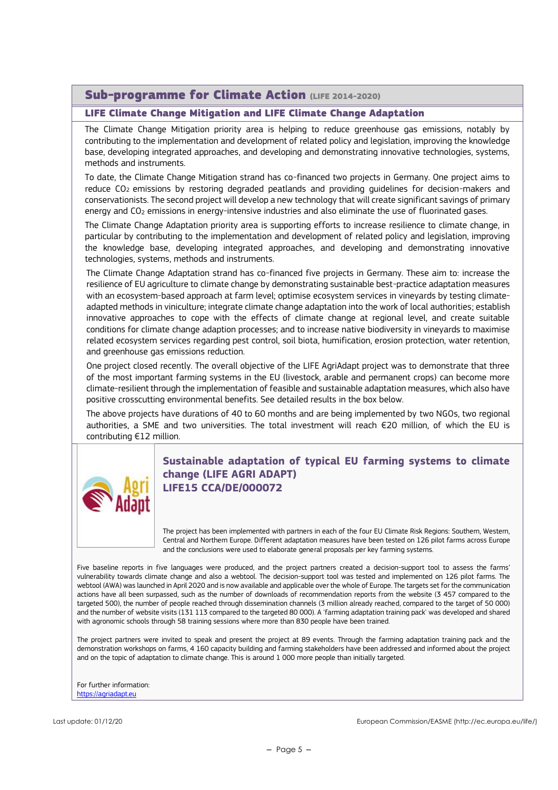## Sub-programme for Climate Action (LIFE 2014-2020)

#### LIFE Climate Change Mitigation and LIFE Climate Change Adaptation

The Climate Change Mitigation priority area is helping to reduce greenhouse gas emissions, notably by contributing to the implementation and development of related policy and legislation, improving the knowledge base, developing integrated approaches, and developing and demonstrating innovative technologies, systems, methods and instruments.

To date, the Climate Change Mitigation strand has co-financed two projects in Germany. One project aims to reduce CO2 emissions by restoring degraded peatlands and providing guidelines for decision-makers and conservationists. The second project will develop a new technology that will create significant savings of primary energy and CO<sup>2</sup> emissions in energy-intensive industries and also eliminate the use of fluorinated gases.

The Climate Change Adaptation priority area is supporting efforts to increase resilience to climate change, in particular by contributing to the implementation and development of related policy and legislation, improving the knowledge base, developing integrated approaches, and developing and demonstrating innovative technologies, systems, methods and instruments.

The Climate Change Adaptation strand has co-financed five projects in Germany. These aim to: increase the resilience of EU agriculture to climate change by demonstrating sustainable best-practice adaptation measures with an ecosystem-based approach at farm level; optimise ecosystem services in vineyards by testing climateadapted methods in viniculture; integrate climate change adaptation into the work of local authorities; establish innovative approaches to cope with the effects of climate change at regional level, and create suitable conditions for climate change adaption processes; and to increase native biodiversity in vineyards to maximise related ecosystem services regarding pest control, soil biota, humification, erosion protection, water retention, and greenhouse gas emissions reduction.

One project closed recently. The overall objective of the LIFE AgriAdapt project was to demonstrate that three of the most important farming systems in the EU (livestock, arable and permanent crops) can become more climate-resilient through the implementation of feasible and sustainable adaptation measures, which also have positive crosscutting environmental benefits. See detailed results in the box below.

The above projects have durations of 40 to 60 months and are being implemented by two NGOs, two regional authorities, a SME and two universities. The total investment will reach €20 million, of which the EU is contributing €12 million.



#### **Sustainable adaptation of typical EU farming systems to climate change (LIFE AGRI ADAPT) LIFE15 CCA/DE/000072**

The project has been implemented with partners in each of the four EU Climate Risk Regions: Southern, Western, Central and Northern Europe. Different adaptation measures have been tested on 126 pilot farms across Europe and the conclusions were used to elaborate general proposals per key farming systems.

Five baseline reports in five languages were produced, and the project partners created a decision-support tool to assess the farms' vulnerability towards climate change and also a webtool. The decision-support tool was tested and implemented on 126 pilot farms. The webtool (AWA) was launched in April 2020 and is now available and applicable over the whole of Europe. The targets set for the communication actions have all been surpassed, such as the number of downloads of recommendation reports from the website (3 457 compared to the targeted 500), the number of people reached through dissemination channels (3 million already reached, compared to the target of 50 000) and the number of website visits (131 113 compared to the targeted 80 000). A 'farming adaptation training pack' was developed and shared with agronomic schools through 58 training sessions where more than 830 people have been trained.

The project partners were invited to speak and present the project at 89 events. Through the farming adaptation training pack and the demonstration workshops on farms, 4 160 capacity building and farming stakeholders have been addressed and informed about the project and on the topic of adaptation to climate change. This is around 1 000 more people than initially targeted.

For further information: [https://agriadapt.eu](https://agriadapt.eu/)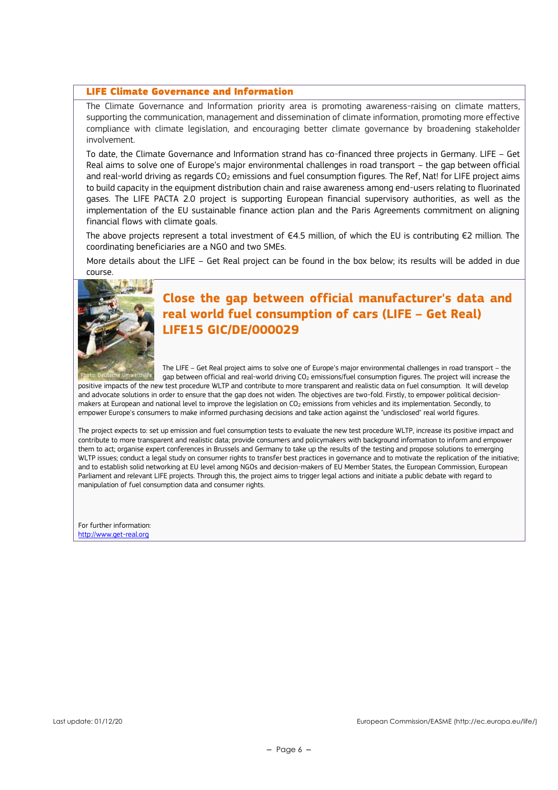#### LIFE Climate Governance and Information

The Climate Governance and Information priority area is promoting awareness-raising on climate matters, supporting the communication, management and dissemination of climate information, promoting more effective compliance with climate legislation, and encouraging better climate governance by broadening stakeholder involvement.

To date, the Climate Governance and Information strand has co-financed three projects in Germany. LIFE – Get Real aims to solve one of Europe's major environmental challenges in road transport – the gap between official and real-world driving as regards CO<sub>2</sub> emissions and fuel consumption figures. The Ref, Nat! for LIFE project aims to build capacity in the equipment distribution chain and raise awareness among end-users relating to fluorinated gases. The LIFE PACTA 2.0 project is supporting European financial supervisory authorities, as well as the implementation of the EU sustainable finance action plan and the Paris Agreements commitment on aligning financial flows with climate goals.

The above projects represent a total investment of €4.5 million, of which the EU is contributing €2 million. The coordinating beneficiaries are a NGO and two SMEs.

More details about the LIFE – Get Real project can be found in the box below; its results will be added in due course.



# **Close the gap between official manufacturer's data and real world fuel consumption of cars (LIFE – Get Real) LIFE15 GIC/DE/000029**

The LIFE – Get Real project aims to solve one of Europe's major environmental challenges in road transport – the gap between official and real-world driving CO<sub>2</sub> emissions/fuel consumption figures. The project will increase the

positive impacts of the new test procedure WLTP and contribute to more transparent and realistic data on fuel consumption. It will develop and advocate solutions in order to ensure that the gap does not widen. The objectives are two-fold. Firstly, to empower political decisionmakers at European and national level to improve the legislation on CO<sub>2</sub> emissions from vehicles and its implementation. Secondly, to empower Europe's consumers to make informed purchasing decisions and take action against the "undisclosed" real world figures.

The project expects to: set up emission and fuel consumption tests to evaluate the new test procedure WLTP, increase its positive impact and contribute to more transparent and realistic data; provide consumers and policymakers with background information to inform and empower them to act; organise expert conferences in Brussels and Germany to take up the results of the testing and propose solutions to emerging WLTP issues; conduct a legal study on consumer rights to transfer best practices in governance and to motivate the replication of the initiative; and to establish solid networking at EU level among NGOs and decision-makers of EU Member States, the European Commission, European Parliament and relevant LIFE projects. Through this, the project aims to trigger legal actions and initiate a public debate with regard to manipulation of fuel consumption data and consumer rights.

For further information: [http://www.get-real.org](http://www.get-real.org/)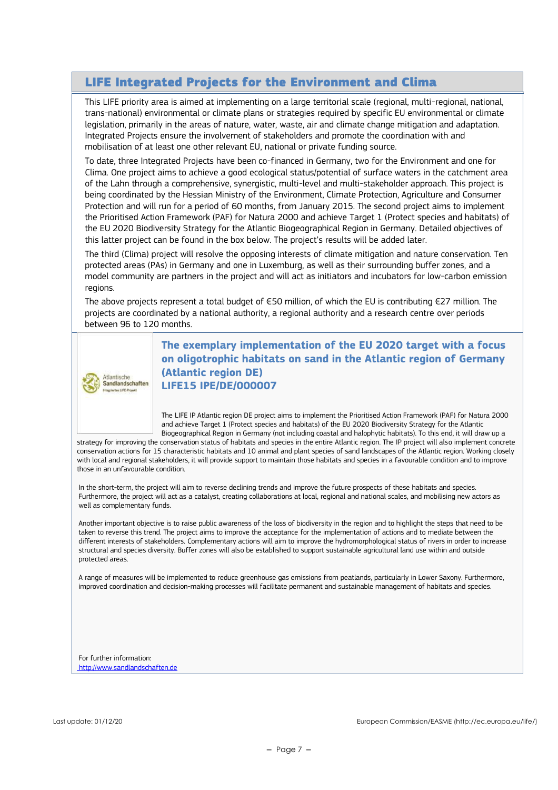# LIFE Integrated Projects for the Environment and Clima

This LIFE priority area is aimed at implementing on a large territorial scale (regional, multi-regional, national, trans-national) environmental or climate plans or strategies required by specific EU environmental or climate legislation, primarily in the areas of nature, water, waste, air and climate change mitigation and adaptation. Integrated Projects ensure the involvement of stakeholders and promote the coordination with and mobilisation of at least one other relevant EU, national or private funding source.

To date, three Integrated Projects have been co-financed in Germany, two for the Environment and one for Clima. One project aims to achieve a good ecological status/potential of surface waters in the catchment area of the Lahn through a comprehensive, synergistic, multi-level and multi-stakeholder approach. This project is being coordinated by the Hessian Ministry of the Environment, Climate Protection, Agriculture and Consumer Protection and will run for a period of 60 months, from January 2015. The second project aims to implement the Prioritised Action Framework (PAF) for Natura 2000 and achieve Target 1 (Protect species and habitats) of the EU 2020 Biodiversity Strategy for the Atlantic Biogeographical Region in Germany. Detailed objectives of this latter project can be found in the box below. The project's results will be added later.

The third (Clima) project will resolve the opposing interests of climate mitigation and nature conservation. Ten protected areas (PAs) in Germany and one in Luxemburg, as well as their surrounding buffer zones, and a model community are partners in the project and will act as initiators and incubators for low-carbon emission regions.

The above projects represent a total budget of €50 million, of which the EU is contributing €27 million. The projects are coordinated by a national authority, a regional authority and a research centre over periods between 96 to 120 months.



**The exemplary implementation of the EU 2020 target with a focus on oligotrophic habitats on sand in the Atlantic region of Germany (Atlantic region DE) LIFE15 IPE/DE/000007**

The LIFE IP Atlantic region DE project aims to implement the Prioritised Action Framework (PAF) for Natura 2000 and achieve Target 1 (Protect species and habitats) of the EU 2020 Biodiversity Strategy for the Atlantic Biogeographical Region in Germany (not including coastal and halophytic habitats). To this end, it will draw up a

strategy for improving the conservation status of habitats and species in the entire Atlantic region. The IP project will also implement concrete conservation actions for 15 characteristic habitats and 10 animal and plant species of sand landscapes of the Atlantic region. Working closely with local and regional stakeholders, it will provide support to maintain those habitats and species in a favourable condition and to improve those in an unfavourable condition.

In the short-term, the project will aim to reverse declining trends and improve the future prospects of these habitats and species. Furthermore, the project will act as a catalyst, creating collaborations at local, regional and national scales, and mobilising new actors as well as complementary funds.

Another important objective is to raise public awareness of the loss of biodiversity in the region and to highlight the steps that need to be taken to reverse this trend. The project aims to improve the acceptance for the implementation of actions and to mediate between the different interests of stakeholders. Complementary actions will aim to improve the hydromorphological status of rivers in order to increase structural and species diversity. Buffer zones will also be established to support sustainable agricultural land use within and outside protected areas.

A range of measures will be implemented to reduce greenhouse gas emissions from peatlands, particularly in Lower Saxony. Furthermore, improved coordination and decision-making processes will facilitate permanent and sustainable management of habitats and species.

For further information: [http://www.sandlandschaften.de](http://www.sandlandschaften.de/)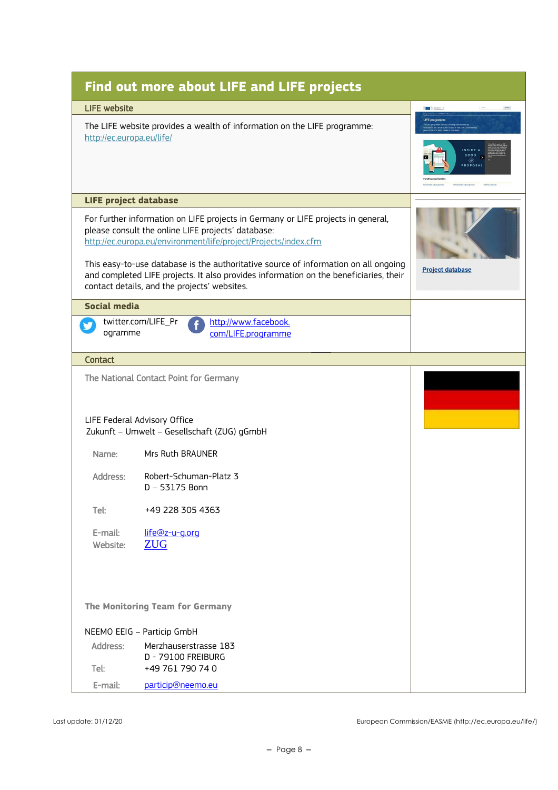|                              | <b>Find out more about LIFE and LIFE projects</b>                                                                                                                                                                                                                                                                                                                                                                                         |                         |  |  |  |
|------------------------------|-------------------------------------------------------------------------------------------------------------------------------------------------------------------------------------------------------------------------------------------------------------------------------------------------------------------------------------------------------------------------------------------------------------------------------------------|-------------------------|--|--|--|
| <b>LIFE website</b>          |                                                                                                                                                                                                                                                                                                                                                                                                                                           | <b>O</b> fanges         |  |  |  |
|                              | The LIFE website provides a wealth of information on the LIFE programme:<br>http://ec.europa.eu/life/                                                                                                                                                                                                                                                                                                                                     |                         |  |  |  |
| <b>LIFE project database</b> |                                                                                                                                                                                                                                                                                                                                                                                                                                           |                         |  |  |  |
|                              | For further information on LIFE projects in Germany or LIFE projects in general,<br>please consult the online LIFE projects' database:<br>http://ec.europa.eu/environment/life/project/Projects/index.cfm<br>This easy-to-use database is the authoritative source of information on all ongoing<br>and completed LIFE projects. It also provides information on the beneficiaries, their<br>contact details, and the projects' websites. | <b>Project database</b> |  |  |  |
| Social media                 |                                                                                                                                                                                                                                                                                                                                                                                                                                           |                         |  |  |  |
| ogramme                      | twitter.com/LIFE_Pr<br>http://www.facebook.<br>com/LIFE.programme                                                                                                                                                                                                                                                                                                                                                                         |                         |  |  |  |
| <b>Contact</b>               |                                                                                                                                                                                                                                                                                                                                                                                                                                           |                         |  |  |  |
|                              | The National Contact Point for Germany<br>LIFE Federal Advisory Office<br>Zukunft - Umwelt - Gesellschaft (ZUG) gGmbH                                                                                                                                                                                                                                                                                                                     |                         |  |  |  |
| Name:                        | Mrs Ruth BRAUNER                                                                                                                                                                                                                                                                                                                                                                                                                          |                         |  |  |  |
| Address:                     | Robert-Schuman-Platz 3<br>D - 53175 Bonn                                                                                                                                                                                                                                                                                                                                                                                                  |                         |  |  |  |
| Tel:                         | +49 228 305 4363                                                                                                                                                                                                                                                                                                                                                                                                                          |                         |  |  |  |
| E-mail:<br>Website:          | life@z-u-g.org<br><b>ZUG</b>                                                                                                                                                                                                                                                                                                                                                                                                              |                         |  |  |  |
|                              | The Monitoring Team for Germany                                                                                                                                                                                                                                                                                                                                                                                                           |                         |  |  |  |
|                              | NEEMO EEIG - Particip GmbH                                                                                                                                                                                                                                                                                                                                                                                                                |                         |  |  |  |
| Address:                     | Merzhauserstrasse 183<br>D - 79100 FREIBURG                                                                                                                                                                                                                                                                                                                                                                                               |                         |  |  |  |
| Tel:                         | +49 761 790 74 0                                                                                                                                                                                                                                                                                                                                                                                                                          |                         |  |  |  |
| E-mail:                      | particip@neemo.eu                                                                                                                                                                                                                                                                                                                                                                                                                         |                         |  |  |  |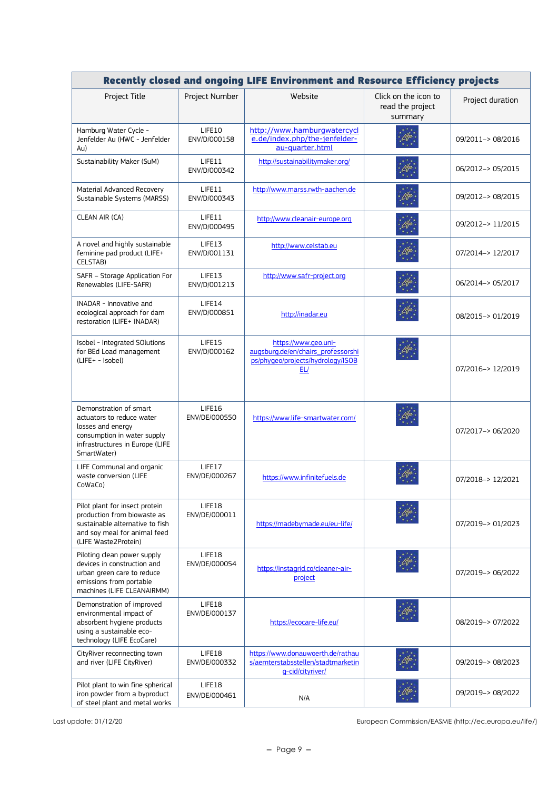| Recently closed and ongoing LIFE Environment and Resource Efficiency projects                                                                             |                         |                                                                                                        |                                                     |                   |
|-----------------------------------------------------------------------------------------------------------------------------------------------------------|-------------------------|--------------------------------------------------------------------------------------------------------|-----------------------------------------------------|-------------------|
| Project Title                                                                                                                                             | Project Number          | Website                                                                                                | Click on the icon to<br>read the project<br>summary | Project duration  |
| Hamburg Water Cycle -<br>Jenfelder Au (HWC - Jenfelder<br>Au)                                                                                             | LIFE10<br>ENV/D/000158  | http://www.hamburgwatercycl<br>e.de/index.php/the-jenfelder-<br>au-quarter.html                        |                                                     | 09/2011-> 08/2016 |
| Sustainability Maker (SuM)                                                                                                                                | LIFE11<br>ENV/D/000342  | http://sustainabilitymaker.org/                                                                        |                                                     | 06/2012-> 05/2015 |
| Material Advanced Recovery<br>Sustainable Systems (MARSS)                                                                                                 | LIFE11<br>ENV/D/000343  | http://www.marss.rwth-aachen.de                                                                        |                                                     | 09/2012-> 08/2015 |
| CLEAN AIR (CA)                                                                                                                                            | LIFE11<br>ENV/D/000495  | http://www.cleanair-europe.org                                                                         |                                                     | 09/2012-> 11/2015 |
| A novel and highly sustainable<br>feminine pad product (LIFE+<br><b>CELSTAB)</b>                                                                          | LIFE13<br>ENV/D/001131  | http://www.celstab.eu                                                                                  |                                                     | 07/2014-> 12/2017 |
| SAFR - Storage Application For<br>Renewables (LIFE-SAFR)                                                                                                  | LIFE13<br>ENV/D/001213  | http://www.safr-project.org                                                                            |                                                     | 06/2014-> 05/2017 |
| INADAR - Innovative and<br>ecological approach for dam<br>restoration (LIFE+ INADAR)                                                                      | LIFE14<br>ENV/D/000851  | http://inadar.eu                                                                                       |                                                     | 08/2015-> 01/2019 |
| Isobel - Integrated SOlutions<br>for BEd Load management<br>(LIFE+ - Isobel)                                                                              | LIFE15<br>ENV/D/000162  | https://www.geo.uni-<br>augsburg.de/en/chairs_professorshi<br>ps/phygeo/projects/hydrology/ISOB<br>EL/ |                                                     | 07/2016-> 12/2019 |
| Demonstration of smart<br>actuators to reduce water<br>losses and energy<br>consumption in water supply<br>infrastructures in Europe (LIFE<br>SmartWater) | LIFE16<br>ENV/DE/000550 | https://www.life-smartwater.com/                                                                       |                                                     | 07/2017-> 06/2020 |
| LIFE Communal and organic<br>waste conversion (LIFE<br>CoWaCo)                                                                                            | LIFE17<br>ENV/DE/000267 | https://www.infinitefuels.de                                                                           |                                                     | 07/2018-> 12/2021 |
| Pilot plant for insect protein<br>production from biowaste as<br>sustainable alternative to fish<br>and soy meal for animal feed<br>(LIFE Waste2Protein)  | LIFE18<br>ENV/DE/000011 | https://madebymade.eu/eu-life/                                                                         |                                                     | 07/2019-> 01/2023 |
| Piloting clean power supply<br>devices in construction and<br>urban green care to reduce<br>emissions from portable<br>machines (LIFE CLEANAIRMM)         | LIFE18<br>ENV/DE/000054 | https://instagrid.co/cleaner-air-<br>project                                                           |                                                     | 07/2019-> 06/2022 |
| Demonstration of improved<br>environmental impact of<br>absorbent hygiene products<br>using a sustainable eco-<br>technology (LIFE EcoCare)               | LIFE18<br>ENV/DE/000137 | https://ecocare-life.eu/                                                                               |                                                     | 08/2019-> 07/2022 |
| CityRiver reconnecting town<br>and river (LIFE CityRiver)                                                                                                 | LIFE18<br>ENV/DE/000332 | https://www.donauwoerth.de/rathau<br>s/aemterstabsstellen/stadtmarketin<br>q-cid/cityriver/            |                                                     | 09/2019-> 08/2023 |
| Pilot plant to win fine spherical<br>iron powder from a byproduct<br>of steel plant and metal works                                                       | LIFE18<br>ENV/DE/000461 | N/A                                                                                                    |                                                     | 09/2019-> 08/2022 |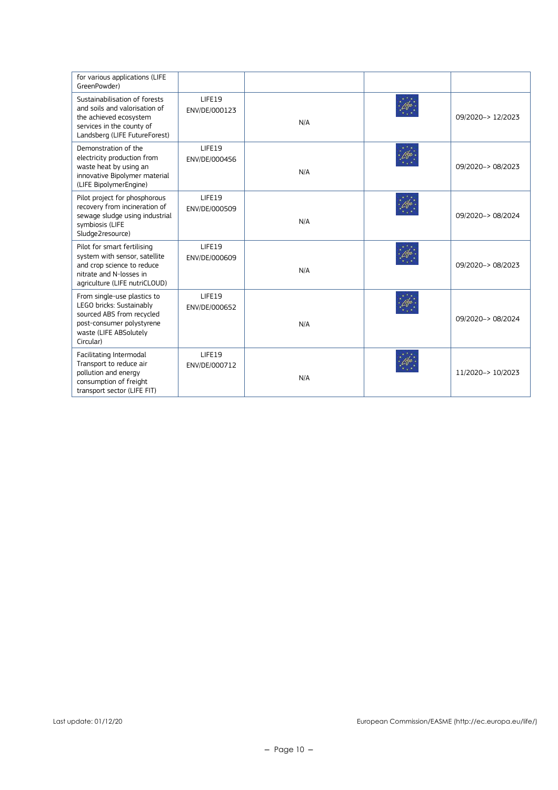| for various applications (LIFE<br>GreenPowder)                                                                                                           |                         |     |                   |
|----------------------------------------------------------------------------------------------------------------------------------------------------------|-------------------------|-----|-------------------|
| Sustainabilisation of forests<br>and soils and valorisation of<br>the achieved ecosystem<br>services in the county of<br>Landsberg (LIFE FutureForest)   | LIFE19<br>ENV/DE/000123 | N/A | 09/2020-> 12/2023 |
| Demonstration of the<br>electricity production from<br>waste heat by using an<br>innovative Bipolymer material<br>(LIFE BipolymerEngine)                 | LIFE19<br>ENV/DE/000456 | N/A | 09/2020-> 08/2023 |
| Pilot project for phosphorous<br>recovery from incineration of<br>sewage sludge using industrial<br>symbiosis (LIFE<br>Sludge2resource)                  | LIFE19<br>ENV/DE/000509 | N/A | 09/2020-> 08/2024 |
| Pilot for smart fertilising<br>system with sensor, satellite<br>and crop science to reduce<br>nitrate and N-losses in<br>agriculture (LIFE nutriCLOUD)   | LIFE19<br>ENV/DE/000609 | N/A | 09/2020-> 08/2023 |
| From single-use plastics to<br>LEGO bricks: Sustainably<br>sourced ABS from recycled<br>post-consumer polystyrene<br>waste (LIFE ABSolutely<br>Circular) | LIFE19<br>ENV/DE/000652 | N/A | 09/2020-> 08/2024 |
| Facilitating Intermodal<br>Transport to reduce air<br>pollution and energy<br>consumption of freight<br>transport sector (LIFE FIT)                      | LIFE19<br>ENV/DE/000712 | N/A | 11/2020-> 10/2023 |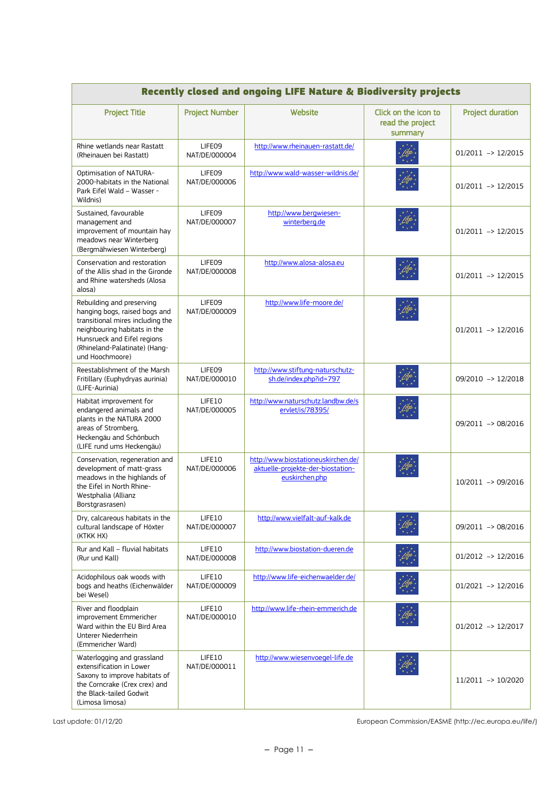| <b>Recently closed and ongoing LIFE Nature &amp; Biodiversity projects</b>                                                                                                                                        |                         |                                                                                            |                                                     |                         |
|-------------------------------------------------------------------------------------------------------------------------------------------------------------------------------------------------------------------|-------------------------|--------------------------------------------------------------------------------------------|-----------------------------------------------------|-------------------------|
| <b>Project Title</b>                                                                                                                                                                                              | <b>Project Number</b>   | Website                                                                                    | Click on the icon to<br>read the project<br>summary | <b>Project duration</b> |
| Rhine wetlands near Rastatt<br>(Rheinauen bei Rastatt)                                                                                                                                                            | LIFE09<br>NAT/DE/000004 | http://www.rheinauen-rastatt.de/                                                           |                                                     | $01/2011$ -> $12/2015$  |
| Optimisation of NATURA-<br>2000-habitats in the National<br>Park Eifel Wald - Wasser -<br>Wildnis)                                                                                                                | LIFE09<br>NAT/DE/000006 | http://www.wald-wasser-wildnis.de/                                                         |                                                     | $01/2011$ -> $12/2015$  |
| Sustained, favourable<br>management and<br>improvement of mountain hay<br>meadows near Winterberg<br>(Bergmähwiesen Winterberg)                                                                                   | LIFE09<br>NAT/DE/000007 | http://www.bergwiesen-<br>winterberg.de                                                    |                                                     | $01/2011$ -> $12/2015$  |
| Conservation and restoration<br>of the Allis shad in the Gironde<br>and Rhine watersheds (Alosa<br>alosa)                                                                                                         | LIFE09<br>NAT/DE/000008 | http://www.alosa-alosa.eu                                                                  |                                                     | $01/2011$ -> $12/2015$  |
| Rebuilding and preserving<br>hanging bogs, raised bogs and<br>transitional mires including the<br>neighbouring habitats in the<br>Hunsrueck and Eifel regions<br>(Rhineland-Palatinate) (Hang-<br>und Hoochmoore) | LIFE09<br>NAT/DE/000009 | http://www.life-moore.de/                                                                  |                                                     | $01/2011$ -> $12/2016$  |
| Reestablishment of the Marsh<br>Fritillary (Euphydryas aurinia)<br>(LIFE-Aurinia)                                                                                                                                 | LIFE09<br>NAT/DE/000010 | http://www.stiftung-naturschutz-<br>sh.de/index.php?id=797                                 |                                                     | 09/2010 -> 12/2018      |
| Habitat improvement for<br>endangered animals and<br>plants in the NATURA 2000<br>areas of Stromberg,<br>Heckengäu and Schönbuch<br>(LIFE rund ums Heckengäu)                                                     | LIFE10<br>NAT/DE/000005 | http://www.naturschutz.landbw.de/s<br>ervlet/is/78395/                                     |                                                     | 09/2011 -> 08/2016      |
| Conservation, regeneration and<br>development of matt-grass<br>meadows in the highlands of<br>the Eifel in North Rhine-<br>Westphalia (Allianz<br>Borstgrasrasen)                                                 | LIFE10<br>NAT/DE/000006 | http://www.biostationeuskirchen.de/<br>aktuelle-projekte-der-biostation-<br>euskirchen.php |                                                     | 10/2011 -> 09/2016      |
| Dry, calcareous habitats in the<br>cultural landscape of Höxter<br>(KTKK HX)                                                                                                                                      | LIFE10<br>NAT/DE/000007 | http://www.vielfalt-auf-kalk.de                                                            |                                                     | 09/2011 -> 08/2016      |
| Rur and Kall - fluvial habitats<br>(Rur und Kall)                                                                                                                                                                 | LIFE10<br>NAT/DE/000008 | http://www.biostation-dueren.de                                                            |                                                     | $01/2012$ -> $12/2016$  |
| Acidophilous oak woods with<br>bogs and heaths (Eichenwälder<br>bei Wesel)                                                                                                                                        | LIFE10<br>NAT/DE/000009 | http://www.life-eichenwaelder.de/                                                          |                                                     | $01/2021$ -> $12/2016$  |
| River and floodplain<br>improvement Emmericher<br>Ward within the EU Bird Area<br>Unterer Niederrhein<br>(Emmericher Ward)                                                                                        | LIFE10<br>NAT/DE/000010 | http://www.life-rhein-emmerich.de                                                          |                                                     | $01/2012$ -> $12/2017$  |
| Waterlogging and grassland<br>extensification in Lower<br>Saxony to improve habitats of<br>the Corncrake (Crex crex) and<br>the Black-tailed Godwit<br>(Limosa limosa)                                            | LIFE10<br>NAT/DE/000011 | http://www.wiesenvoegel-life.de                                                            |                                                     | 11/2011 -> 10/2020      |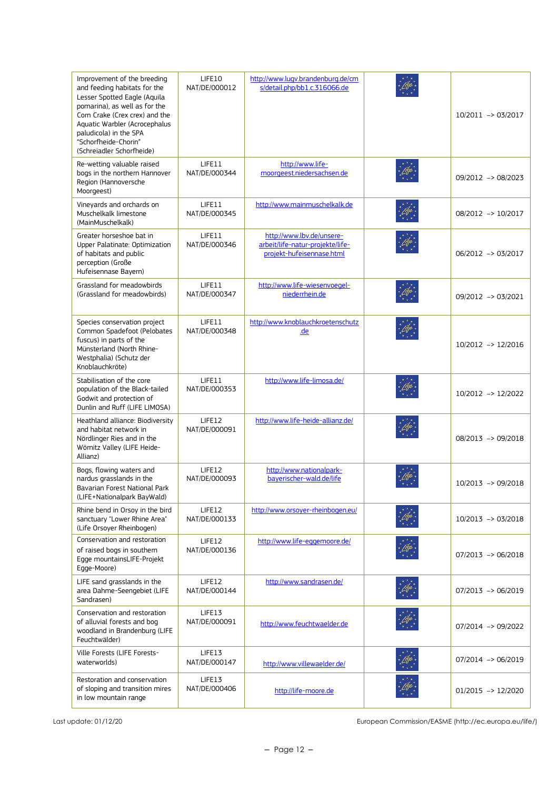| Improvement of the breeding<br>and feeding habitats for the<br>Lesser Spotted Eagle (Aquila<br>pomarina), as well as for the<br>Corn Crake (Crex crex) and the<br>Aquatic Warbler (Acrocephalus<br>paludicola) in the SPA<br>"Schorfheide-Chorin"<br>(Schreiadler Schorfheide) | LIFE10<br>NAT/DE/000012 | http://www.lugv.brandenburg.de/cm<br>s/detail.php/bb1.c.316066.de                          | 10/2011 -> 03/2017 |
|--------------------------------------------------------------------------------------------------------------------------------------------------------------------------------------------------------------------------------------------------------------------------------|-------------------------|--------------------------------------------------------------------------------------------|--------------------|
| Re-wetting valuable raised<br>bogs in the northern Hannover<br>Region (Hannoversche<br>Moorgeest)                                                                                                                                                                              | LIFE11<br>NAT/DE/000344 | http://www.life-<br>moorgeest.niedersachsen.de                                             | 09/2012 -> 08/2023 |
| Vineyards and orchards on<br>Muschelkalk limestone<br>(MainMuschelkalk)                                                                                                                                                                                                        | LIFE11<br>NAT/DE/000345 | http://www.mainmuschelkalk.de                                                              | 08/2012 -> 10/2017 |
| Greater horseshoe bat in<br>Upper Palatinate: Optimization<br>of habitats and public<br>perception (Große<br>Hufeisennase Bayern)                                                                                                                                              | LIFE11<br>NAT/DE/000346 | http://www.lbv.de/unsere-<br>arbeit/life-natur-projekte/life-<br>projekt-hufeisennase.html | 06/2012 -> 03/2017 |
| Grassland for meadowbirds<br>(Grassland for meadowbirds)                                                                                                                                                                                                                       | LIFE11<br>NAT/DE/000347 | http://www.life-wiesenvoegel-<br>niederrhein.de                                            | 09/2012 -> 03/2021 |
| Species conservation project<br>Common Spadefoot (Pelobates<br>fuscus) in parts of the<br>Münsterland (North Rhine-<br>Westphalia) (Schutz der<br>Knoblauchkröte)                                                                                                              | LIFE11<br>NAT/DE/000348 | http://www.knoblauchkroetenschutz<br>.de                                                   | 10/2012 -> 12/2016 |
| Stabilisation of the core<br>population of the Black-tailed<br>Godwit and protection of<br>Dunlin and Ruff (LIFE LIMOSA)                                                                                                                                                       | LIFE11<br>NAT/DE/000353 | http://www.life-limosa.de/                                                                 | 10/2012 -> 12/2022 |
| Heathland alliance: Biodiversity<br>and habitat network in<br>Nördlinger Ries and in the<br>Wörnitz Valley (LIFE Heide-<br>Allianz)                                                                                                                                            | LIFE12<br>NAT/DE/000091 | http://www.life-heide-allianz.de/                                                          | 08/2013 -> 09/2018 |
| Bogs, flowing waters and<br>nardus grasslands in the<br>Bavarian Forest National Park<br>(LIFE+Nationalpark BayWald)                                                                                                                                                           | LIFE12<br>NAT/DE/000093 | http://www.nationalpark-<br>bayerischer-wald.de/life                                       | 10/2013 -> 09/2018 |
| Rhine bend in Orsoy in the bird<br>sanctuary "Lower Rhine Area"<br>(Life Orsoyer Rheinbogen)                                                                                                                                                                                   | LIFE12<br>NAT/DE/000133 | http://www.orsoyer-rheinbogen.eu/                                                          | 10/2013 -> 03/2018 |
| Conservation and restoration<br>of raised bogs in southern<br>Egge mountainsLIFE-Projekt<br>Egge-Moore)                                                                                                                                                                        | LIFE12<br>NAT/DE/000136 | http://www.life-eggemoore.de/                                                              | 07/2013 -> 06/2018 |
| LIFE sand grasslands in the<br>area Dahme-Seengebiet (LIFE<br>Sandrasen)                                                                                                                                                                                                       | LIFE12<br>NAT/DE/000144 | http://www.sandrasen.de/                                                                   | 07/2013 -> 06/2019 |
| Conservation and restoration<br>of alluvial forests and bog<br>woodland in Brandenburg (LIFE<br>Feuchtwälder)                                                                                                                                                                  | LIFE13<br>NAT/DE/000091 | http://www.feuchtwaelder.de                                                                | 07/2014 -> 09/2022 |
| Ville Forests (LIFE Forests-<br>waterworlds)                                                                                                                                                                                                                                   | LIFE13<br>NAT/DE/000147 | http://www.villewaelder.de/                                                                | 07/2014 -> 06/2019 |
| Restoration and conservation<br>of sloping and transition mires<br>in low mountain range                                                                                                                                                                                       | LIFE13<br>NAT/DE/000406 | http://life-moore.de                                                                       | 01/2015 -> 12/2020 |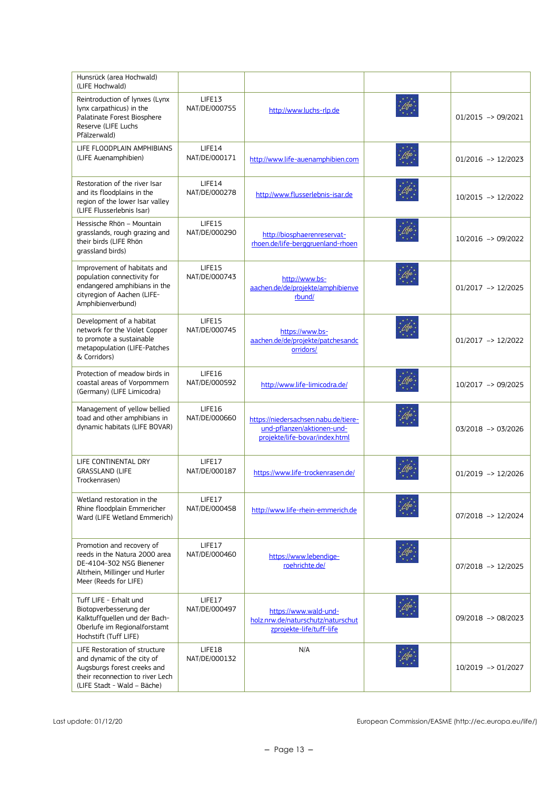| Hunsrück (area Hochwald)<br>(LIFE Hochwald)                                                                                                                   |                         |                                                                                                      |                        |
|---------------------------------------------------------------------------------------------------------------------------------------------------------------|-------------------------|------------------------------------------------------------------------------------------------------|------------------------|
| Reintroduction of lynxes (Lynx<br>lynx carpathicus) in the<br>Palatinate Forest Biosphere<br>Reserve (LIFE Luchs<br>Pfälzerwald)                              | LIFE13<br>NAT/DE/000755 | http://www.luchs-rlp.de                                                                              | $01/2015$ -> 09/2021   |
| LIFE FLOODPLAIN AMPHIBIANS<br>(LIFE Auenamphibien)                                                                                                            | LIFE14<br>NAT/DE/000171 | http://www.life-auenamphibien.com                                                                    | $01/2016$ -> $12/2023$ |
| Restoration of the river Isar<br>and its floodplains in the<br>region of the lower Isar valley<br>(LIFE Flusserlebnis Isar)                                   | LIFE14<br>NAT/DE/000278 | http://www.flusserlebnis-isar.de                                                                     | 10/2015 -> 12/2022     |
| Hessische Rhön - Mountain<br>grasslands, rough grazing and<br>their birds (LIFE Rhön<br>grassland birds)                                                      | LIFE15<br>NAT/DE/000290 | http://biosphaerenreservat-<br>rhoen.de/life-berggruenland-rhoen                                     | 10/2016 -> 09/2022     |
| Improvement of habitats and<br>population connectivity for<br>endangered amphibians in the<br>cityregion of Aachen (LIFE-<br>Amphibienverbund)                | LIFE15<br>NAT/DE/000743 | http://www.bs-<br>aachen.de/de/projekte/amphibienve<br>rbund/                                        | $01/2017$ -> $12/2025$ |
| Development of a habitat<br>network for the Violet Copper<br>to promote a sustainable<br>metapopulation (LIFE-Patches<br>& Corridors)                         | LIFE15<br>NAT/DE/000745 | https://www.bs-<br>aachen.de/de/projekte/patchesandc<br>orridors/                                    | $01/2017$ -> $12/2022$ |
| Protection of meadow birds in<br>coastal areas of Vorpommern<br>(Germany) (LIFE Limicodra)                                                                    | LIFE16<br>NAT/DE/000592 | http://www.life-limicodra.de/                                                                        | 10/2017 -> 09/2025     |
| Management of yellow bellied<br>toad and other amphibians in<br>dynamic habitats (LIFE BOVAR)                                                                 | LIFE16<br>NAT/DE/000660 | https://niedersachsen.nabu.de/tiere-<br>und-pflanzen/aktionen-und-<br>projekte/life-bovar/index.html | $03/2018$ -> 03/2026   |
| LIFE CONTINENTAL DRY<br><b>GRASSLAND (LIFE</b><br>Trockenrasen)                                                                                               | LIFE17<br>NAT/DE/000187 | https://www.life-trockenrasen.de/                                                                    | $01/2019$ -> $12/2026$ |
| Wetland restoration in the<br>Rhine floodplain Emmericher<br>Ward (LIFE Wetland Emmerich)                                                                     | LIFE17<br>NAT/DE/000458 | http://www.life-rhein-emmerich.de                                                                    | $07/2018$ -> $12/2024$ |
| Promotion and recovery of<br>reeds in the Natura 2000 area<br>DE-4104-302 NSG Bienener<br>Altrhein, Millinger und Hurler<br>Meer (Reeds for LIFE)             | LIFE17<br>NAT/DE/000460 | https://www.lebendige-<br>roehrichte.de/                                                             | 07/2018 -> 12/2025     |
| Tuff LIFE - Erhalt und<br>Biotopverbesserung der<br>Kalktuffquellen und der Bach-<br>Oberlufe im Regionalforstamt<br>Hochstift (Tuff LIFE)                    | LIFE17<br>NAT/DE/000497 | https://www.wald-und-<br>holz.nrw.de/naturschutz/naturschut<br>zprojekte-life/tuff-life              | 09/2018 -> 08/2023     |
| LIFE Restoration of structure<br>and dynamic of the city of<br>Augsburgs forest creeks and<br>their reconnection to river Lech<br>(LIFE Stadt - Wald - Bäche) | LIFE18<br>NAT/DE/000132 | N/A                                                                                                  | 10/2019 -> 01/2027     |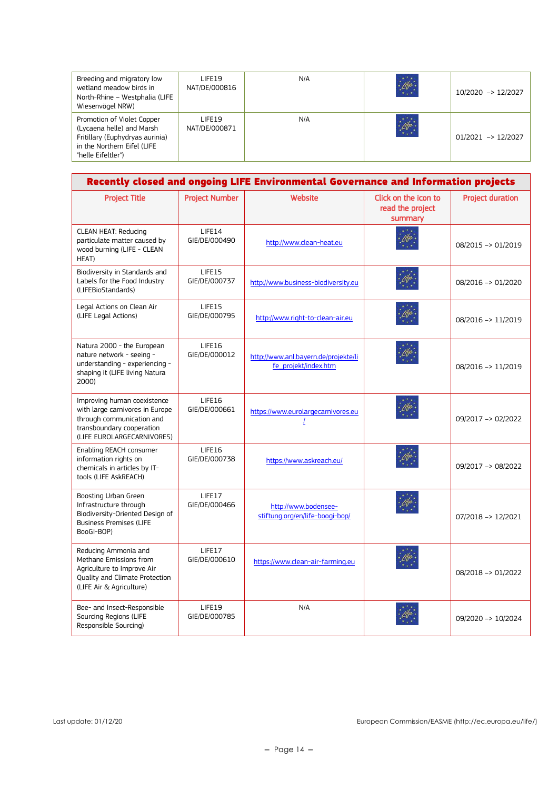| Breeding and migratory low<br>wetland meadow birds in<br>North-Rhine - Westphalia (LIFE<br>Wiesenvögel NRW)                                     | I IFF19<br>NAT/DE/000816 | N/A | 46               | 10/2020 -> 12/2027     |
|-------------------------------------------------------------------------------------------------------------------------------------------------|--------------------------|-----|------------------|------------------------|
| Promotion of Violet Copper<br>(Lycaena helle) and Marsh<br>Fritillary (Euphydryas aurinia)<br>in the Northern Eifel (LIFE<br>"helle Eifeltler") | I IFF19<br>NAT/DE/000871 | N/A | $\mathbb{Z}^{k}$ | $01/2021$ -> $12/2027$ |

|                                                                                                                                                        |                         | Recently closed and ongoing LIFE Environmental Governance and Information projects |                                                     |                         |
|--------------------------------------------------------------------------------------------------------------------------------------------------------|-------------------------|------------------------------------------------------------------------------------|-----------------------------------------------------|-------------------------|
| <b>Project Title</b>                                                                                                                                   | <b>Project Number</b>   | Website                                                                            | Click on the icon to<br>read the project<br>summary | <b>Project duration</b> |
| <b>CLEAN HEAT: Reducing</b><br>particulate matter caused by<br>wood burning (LIFE - CLEAN<br>HEAT)                                                     | LIFE14<br>GIE/DE/000490 | http://www.clean-heat.eu                                                           |                                                     | 08/2015 -> 01/2019      |
| Biodiversity in Standards and<br>Labels for the Food Industry<br>(LIFEBioStandards)                                                                    | LIFE15<br>GIE/DE/000737 | http://www.business-biodiversity.eu                                                |                                                     | 08/2016 -> 01/2020      |
| Legal Actions on Clean Air<br>(LIFE Legal Actions)                                                                                                     | LIFE15<br>GIE/DE/000795 | http://www.right-to-clean-air.eu                                                   |                                                     | 08/2016 -> 11/2019      |
| Natura 2000 - the European<br>nature network - seeing -<br>understanding - experiencing -<br>shaping it (LIFE living Natura<br>2000)                   | LIFE16<br>GIE/DE/000012 | http://www.anl.bayern.de/projekte/li<br>fe_projekt/index.htm                       |                                                     | 08/2016 -> 11/2019      |
| Improving human coexistence<br>with large carnivores in Europe<br>through communication and<br>transboundary cooperation<br>(LIFE EUROLARGECARNIVORES) | LIFE16<br>GIE/DE/000661 | https://www.eurolargecarnivores.eu                                                 |                                                     | 09/2017 -> 02/2022      |
| Enabling REACH consumer<br>information rights on<br>chemicals in articles by IT-<br>tools (LIFE AskREACH)                                              | LIFE16<br>GIE/DE/000738 | https://www.askreach.eu/                                                           |                                                     | 09/2017 -> 08/2022      |
| Boosting Urban Green<br>Infrastructure through<br>Biodiversity-Oriented Design of<br><b>Business Premises (LIFE</b><br>BooGI-BOP)                      | LIFE17<br>GIE/DE/000466 | http://www.bodensee-<br>stiftung.org/en/life-boogi-bop/                            |                                                     | 07/2018 -> 12/2021      |
| Reducing Ammonia and<br>Methane Emissions from<br>Agriculture to Improve Air<br>Quality and Climate Protection<br>(LIFE Air & Agriculture)             | LIFE17<br>GIE/DE/000610 | https://www.clean-air-farming.eu                                                   |                                                     | 08/2018 -> 01/2022      |
| Bee- and Insect-Responsible<br>Sourcing Regions (LIFE<br>Responsible Sourcing)                                                                         | LIFE19<br>GIE/DE/000785 | N/A                                                                                |                                                     | 09/2020 -> 10/2024      |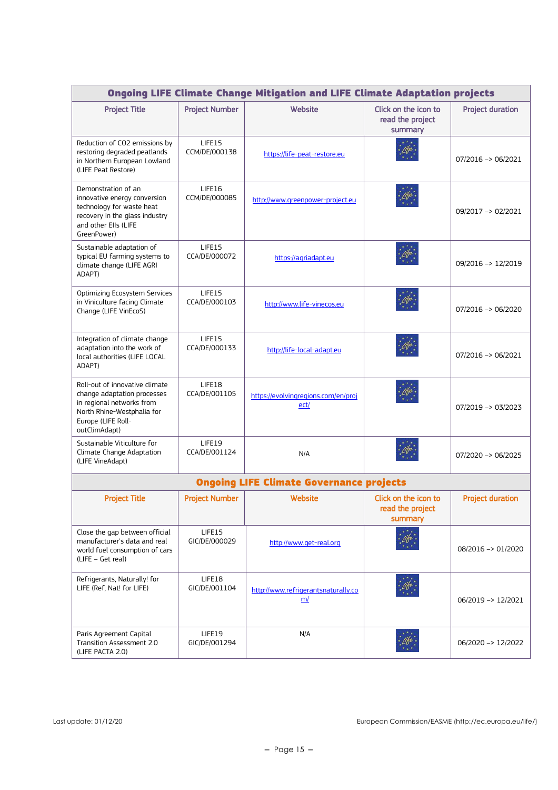| <b>Ongoing LIFE Climate Change Mitigation and LIFE Climate Adaptation projects</b>                                                                              |                         |                                                 |                                                     |                               |
|-----------------------------------------------------------------------------------------------------------------------------------------------------------------|-------------------------|-------------------------------------------------|-----------------------------------------------------|-------------------------------|
| <b>Project Title</b>                                                                                                                                            | <b>Project Number</b>   | Website                                         | Click on the icon to<br>read the project<br>summary | <b>Project duration</b>       |
| Reduction of CO2 emissions by<br>restoring degraded peatlands<br>in Northern European Lowland<br>(LIFE Peat Restore)                                            | LIFE15<br>CCM/DE/000138 | https://life-peat-restore.eu                    |                                                     | $07/2016 \rightarrow 06/2021$ |
| Demonstration of an<br>innovative energy conversion<br>technology for waste heat<br>recovery in the glass industry<br>and other Ells (LIFE<br>GreenPower)       | LIFE16<br>CCM/DE/000085 | http://www.greenpower-project.eu                |                                                     | 09/2017 -> 02/2021            |
| Sustainable adaptation of<br>typical EU farming systems to<br>climate change (LIFE AGRI<br>ADAPT)                                                               | LIFE15<br>CCA/DE/000072 | https://agriadapt.eu                            |                                                     | 09/2016 -> 12/2019            |
| Optimizing Ecosystem Services<br>in Viniculture facing Climate<br>Change (LIFE VinEcoS)                                                                         | LIFE15<br>CCA/DE/000103 | http://www.life-vinecos.eu                      |                                                     | $07/2016 \rightarrow 06/2020$ |
| Integration of climate change<br>adaptation into the work of<br>local authorities (LIFE LOCAL<br>ADAPT)                                                         | LIFE15<br>CCA/DE/000133 | http://life-local-adapt.eu                      |                                                     | 07/2016 -> 06/2021            |
| Roll-out of innovative climate<br>change adaptation processes<br>in regional networks from<br>North Rhine-Westphalia for<br>Europe (LIFE Roll-<br>outClimAdapt) | LIFE18<br>CCA/DE/001105 | https://evolvingregions.com/en/proj<br>ect/     |                                                     | 07/2019 -> 03/2023            |
| Sustainable Viticulture for<br>Climate Change Adaptation<br>(LIFE VineAdapt)                                                                                    | LIFE19<br>CCA/DE/001124 | N/A                                             |                                                     | 07/2020 -> 06/2025            |
|                                                                                                                                                                 |                         | <b>Ongoing LIFE Climate Governance projects</b> |                                                     |                               |
| <b>Project Title</b>                                                                                                                                            | <b>Project Number</b>   | Website                                         | Click on the icon to<br>read the project<br>summary | <b>Project duration</b>       |
| Close the gap between official<br>manufacturer's data and real<br>world fuel consumption of cars<br>(LIFE - Get real)                                           | LIFE15<br>GIC/DE/000029 | http://www.get-real.org                         |                                                     | 08/2016 -> 01/2020            |
| Refrigerants, Naturally! for<br>LIFE (Ref, Nat! for LIFE)                                                                                                       | LIFE18<br>GIC/DE/001104 | http://www.refrigerantsnaturally.co<br>m/       |                                                     | 06/2019 -> 12/2021            |
| Paris Agreement Capital<br>Transition Assessment 2.0<br>(LIFE PACTA 2.0)                                                                                        | LIFE19<br>GIC/DE/001294 | N/A                                             |                                                     | 06/2020 -> 12/2022            |